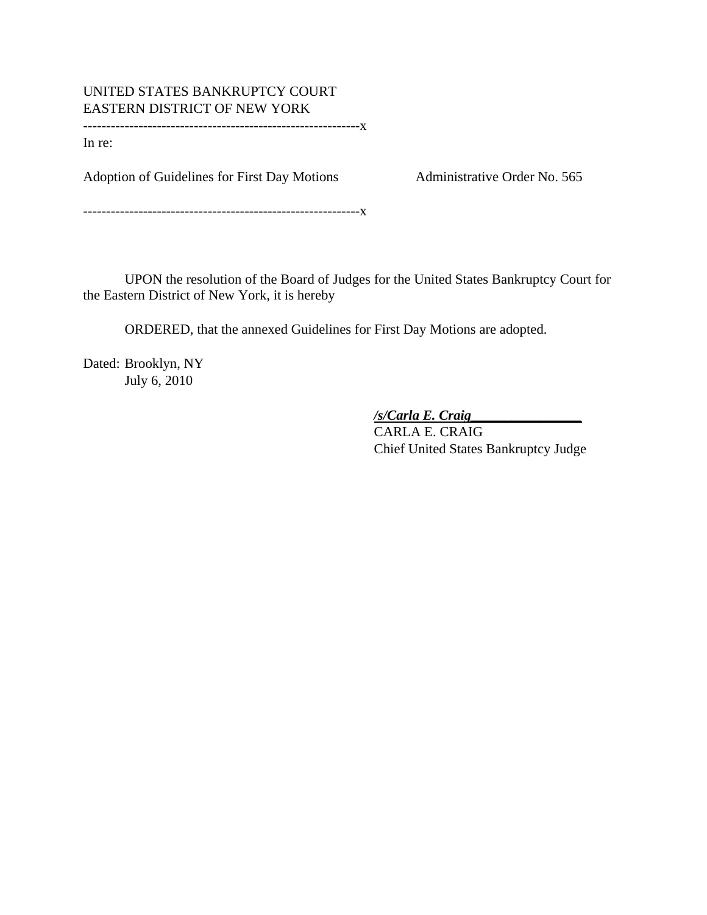# UNITED STATES BANKRUPTCY COURT EASTERN DISTRICT OF NEW YORK

------------------------------------------------------------x

In re:

Adoption of Guidelines for First Day Motions Administrative Order No. 565

------------------------------------------------------------x

 UPON the resolution of the Board of Judges for the United States Bankruptcy Court for the Eastern District of New York, it is hereby

ORDERED, that the annexed Guidelines for First Day Motions are adopted.

Dated: Brooklyn, NY July 6, 2010

*/s/Carla E. Craig\_\_\_\_\_\_\_\_\_\_\_\_\_\_\_\_*

 CARLA E. CRAIG Chief United States Bankruptcy Judge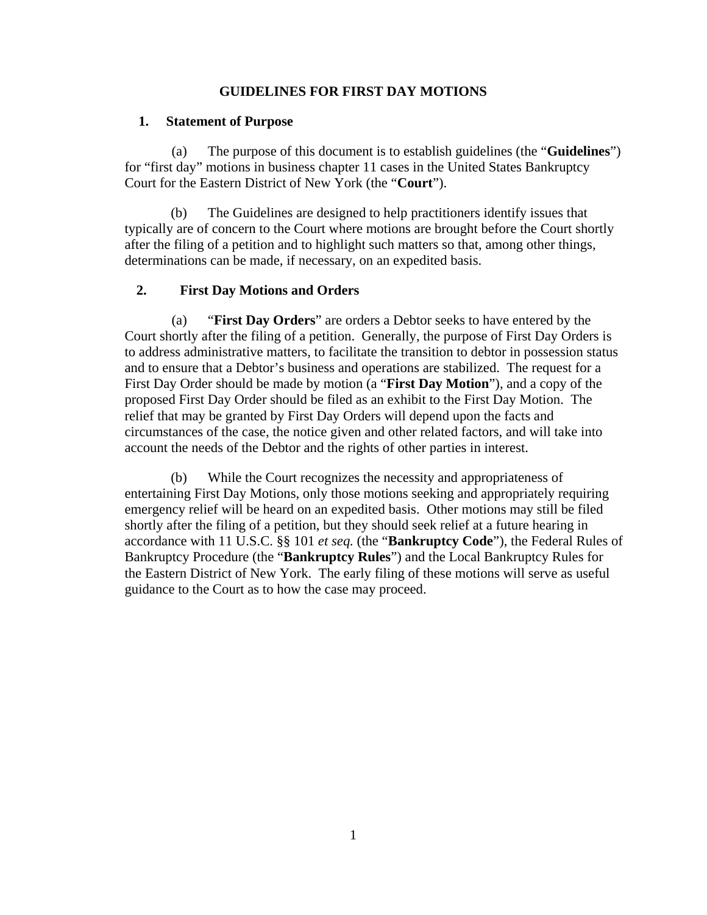# **GUIDELINES FOR FIRST DAY MOTIONS**

# **1. Statement of Purpose**

(a) The purpose of this document is to establish guidelines (the "**Guidelines**") for "first day" motions in business chapter 11 cases in the United States Bankruptcy Court for the Eastern District of New York (the "**Court**").

(b) The Guidelines are designed to help practitioners identify issues that typically are of concern to the Court where motions are brought before the Court shortly after the filing of a petition and to highlight such matters so that, among other things, determinations can be made, if necessary, on an expedited basis.

# **2. First Day Motions and Orders**

(a) "**First Day Orders**" are orders a Debtor seeks to have entered by the Court shortly after the filing of a petition. Generally, the purpose of First Day Orders is to address administrative matters, to facilitate the transition to debtor in possession status and to ensure that a Debtor's business and operations are stabilized. The request for a First Day Order should be made by motion (a "**First Day Motion**"), and a copy of the proposed First Day Order should be filed as an exhibit to the First Day Motion. The relief that may be granted by First Day Orders will depend upon the facts and circumstances of the case, the notice given and other related factors, and will take into account the needs of the Debtor and the rights of other parties in interest.

(b) While the Court recognizes the necessity and appropriateness of entertaining First Day Motions, only those motions seeking and appropriately requiring emergency relief will be heard on an expedited basis. Other motions may still be filed shortly after the filing of a petition, but they should seek relief at a future hearing in accordance with 11 U.S.C. §§ 101 *et seq.* (the "**Bankruptcy Code**"), the Federal Rules of Bankruptcy Procedure (the "**Bankruptcy Rules**") and the Local Bankruptcy Rules for the Eastern District of New York. The early filing of these motions will serve as useful guidance to the Court as to how the case may proceed.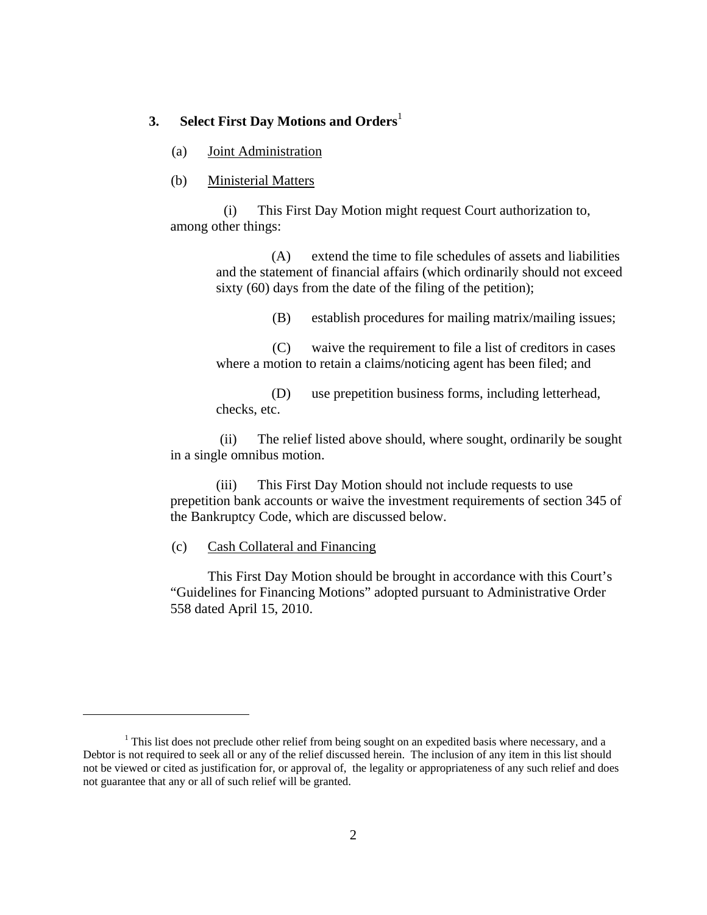# **3. Select First Day Motions and Orders**<sup>1</sup>

- (a) Joint Administration
- (b) Ministerial Matters

(i) This First Day Motion might request Court authorization to, among other things:

> (A) extend the time to file schedules of assets and liabilities and the statement of financial affairs (which ordinarily should not exceed sixty (60) days from the date of the filing of the petition);

> > (B) establish procedures for mailing matrix/mailing issues;

(C) waive the requirement to file a list of creditors in cases where a motion to retain a claims/noticing agent has been filed; and

(D) use prepetition business forms, including letterhead, checks, etc.

(ii) The relief listed above should, where sought, ordinarily be sought in a single omnibus motion.

(iii) This First Day Motion should not include requests to use prepetition bank accounts or waive the investment requirements of section 345 of the Bankruptcy Code, which are discussed below.

(c) Cash Collateral and Financing

 $\overline{a}$ 

 This First Day Motion should be brought in accordance with this Court's "Guidelines for Financing Motions" adopted pursuant to Administrative Order 558 dated April 15, 2010.

 $1$  This list does not preclude other relief from being sought on an expedited basis where necessary, and a Debtor is not required to seek all or any of the relief discussed herein. The inclusion of any item in this list should not be viewed or cited as justification for, or approval of, the legality or appropriateness of any such relief and does not guarantee that any or all of such relief will be granted.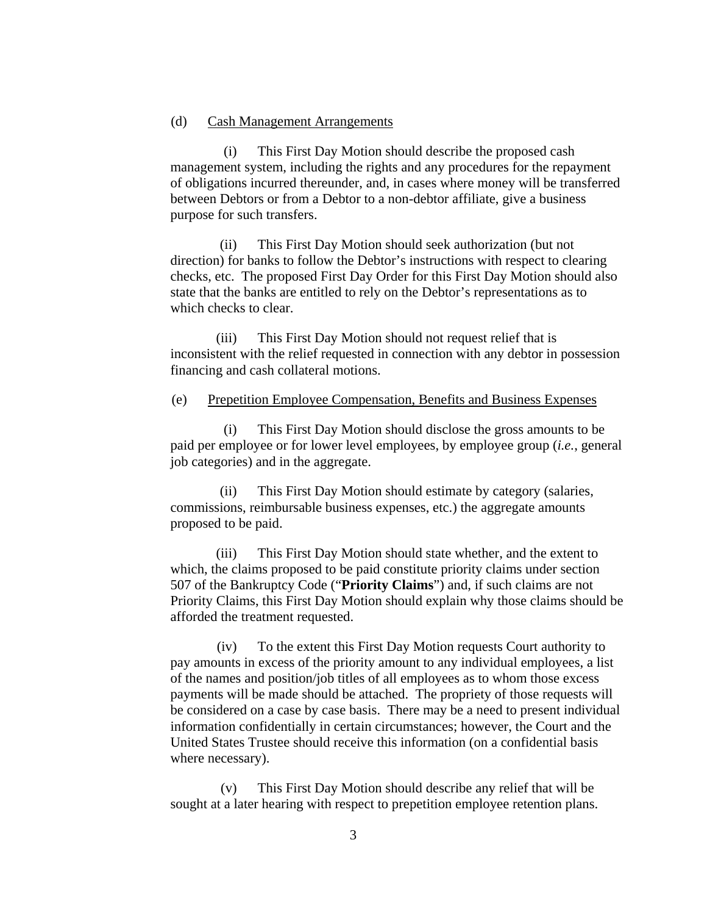#### (d) Cash Management Arrangements

(i) This First Day Motion should describe the proposed cash management system, including the rights and any procedures for the repayment of obligations incurred thereunder, and, in cases where money will be transferred between Debtors or from a Debtor to a non-debtor affiliate, give a business purpose for such transfers.

(ii) This First Day Motion should seek authorization (but not direction) for banks to follow the Debtor's instructions with respect to clearing checks, etc. The proposed First Day Order for this First Day Motion should also state that the banks are entitled to rely on the Debtor's representations as to which checks to clear.

(iii) This First Day Motion should not request relief that is inconsistent with the relief requested in connection with any debtor in possession financing and cash collateral motions.

#### (e) Prepetition Employee Compensation, Benefits and Business Expenses

(i) This First Day Motion should disclose the gross amounts to be paid per employee or for lower level employees, by employee group (*i.e.*, general job categories) and in the aggregate.

(ii) This First Day Motion should estimate by category (salaries, commissions, reimbursable business expenses, etc.) the aggregate amounts proposed to be paid.

(iii) This First Day Motion should state whether, and the extent to which, the claims proposed to be paid constitute priority claims under section 507 of the Bankruptcy Code ("**Priority Claims**") and, if such claims are not Priority Claims, this First Day Motion should explain why those claims should be afforded the treatment requested.

(iv) To the extent this First Day Motion requests Court authority to pay amounts in excess of the priority amount to any individual employees, a list of the names and position/job titles of all employees as to whom those excess payments will be made should be attached. The propriety of those requests will be considered on a case by case basis. There may be a need to present individual information confidentially in certain circumstances; however, the Court and the United States Trustee should receive this information (on a confidential basis where necessary).

(v) This First Day Motion should describe any relief that will be sought at a later hearing with respect to prepetition employee retention plans.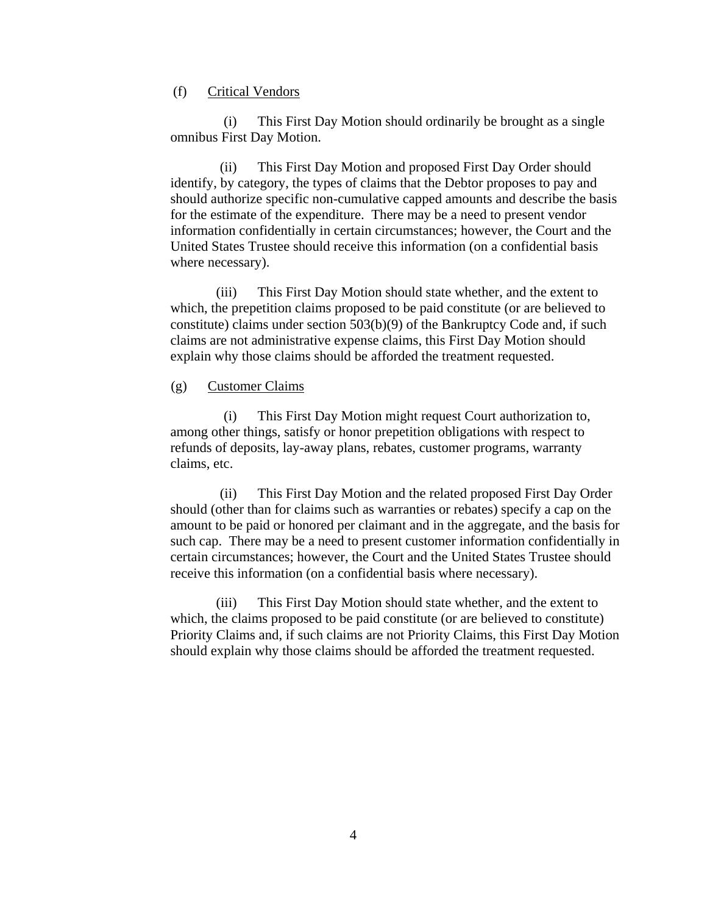#### (f) Critical Vendors

(i) This First Day Motion should ordinarily be brought as a single omnibus First Day Motion.

(ii) This First Day Motion and proposed First Day Order should identify, by category, the types of claims that the Debtor proposes to pay and should authorize specific non-cumulative capped amounts and describe the basis for the estimate of the expenditure. There may be a need to present vendor information confidentially in certain circumstances; however, the Court and the United States Trustee should receive this information (on a confidential basis where necessary).

(iii) This First Day Motion should state whether, and the extent to which, the prepetition claims proposed to be paid constitute (or are believed to constitute) claims under section 503(b)(9) of the Bankruptcy Code and, if such claims are not administrative expense claims, this First Day Motion should explain why those claims should be afforded the treatment requested.

#### (g) Customer Claims

(i) This First Day Motion might request Court authorization to, among other things, satisfy or honor prepetition obligations with respect to refunds of deposits, lay-away plans, rebates, customer programs, warranty claims, etc.

(ii) This First Day Motion and the related proposed First Day Order should (other than for claims such as warranties or rebates) specify a cap on the amount to be paid or honored per claimant and in the aggregate, and the basis for such cap. There may be a need to present customer information confidentially in certain circumstances; however, the Court and the United States Trustee should receive this information (on a confidential basis where necessary).

(iii) This First Day Motion should state whether, and the extent to which, the claims proposed to be paid constitute (or are believed to constitute) Priority Claims and, if such claims are not Priority Claims, this First Day Motion should explain why those claims should be afforded the treatment requested.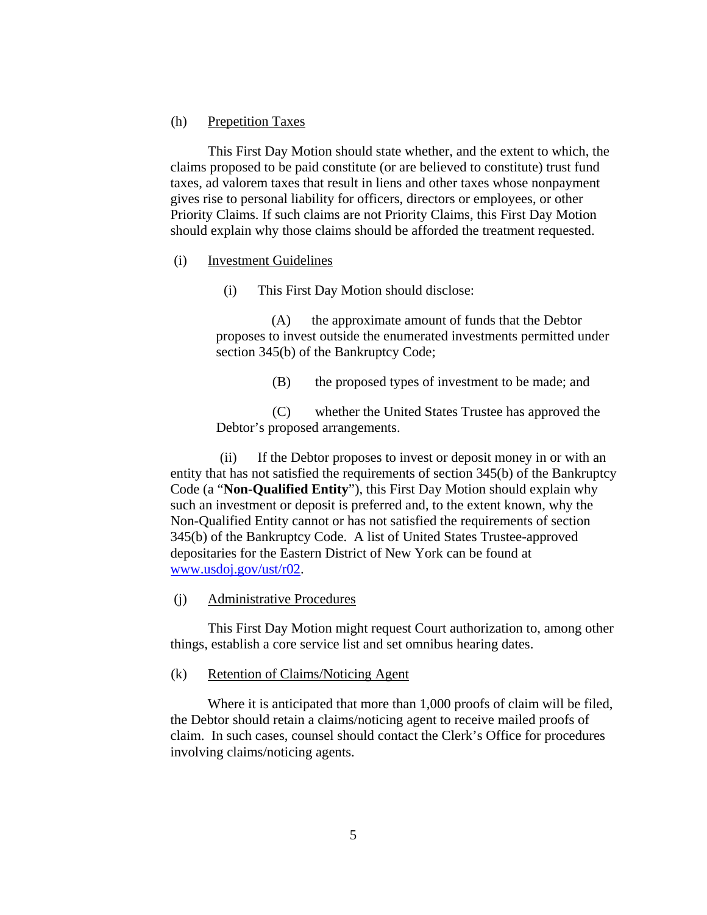#### (h) Prepetition Taxes

This First Day Motion should state whether, and the extent to which, the claims proposed to be paid constitute (or are believed to constitute) trust fund taxes, ad valorem taxes that result in liens and other taxes whose nonpayment gives rise to personal liability for officers, directors or employees, or other Priority Claims. If such claims are not Priority Claims, this First Day Motion should explain why those claims should be afforded the treatment requested.

#### (i) Investment Guidelines

(i) This First Day Motion should disclose:

(A) the approximate amount of funds that the Debtor proposes to invest outside the enumerated investments permitted under section 345(b) of the Bankruptcy Code;

(B) the proposed types of investment to be made; and

(C) whether the United States Trustee has approved the Debtor's proposed arrangements.

(ii) If the Debtor proposes to invest or deposit money in or with an entity that has not satisfied the requirements of section 345(b) of the Bankruptcy Code (a "**Non-Qualified Entity**"), this First Day Motion should explain why such an investment or deposit is preferred and, to the extent known, why the Non-Qualified Entity cannot or has not satisfied the requirements of section 345(b) of the Bankruptcy Code. A list of United States Trustee-approved depositaries for the Eastern District of New York can be found at www.usdoj.gov/ust/r02.

#### (j) Administrative Procedures

 This First Day Motion might request Court authorization to, among other things, establish a core service list and set omnibus hearing dates.

#### (k) Retention of Claims/Noticing Agent

 Where it is anticipated that more than 1,000 proofs of claim will be filed, the Debtor should retain a claims/noticing agent to receive mailed proofs of claim. In such cases, counsel should contact the Clerk's Office for procedures involving claims/noticing agents.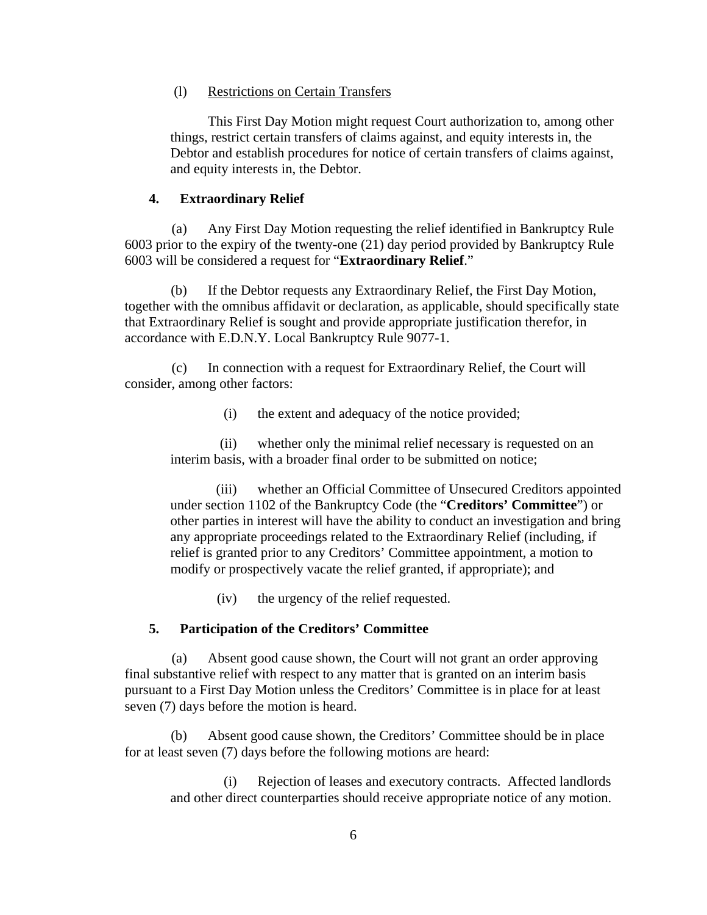#### (l) Restrictions on Certain Transfers

 This First Day Motion might request Court authorization to, among other things, restrict certain transfers of claims against, and equity interests in, the Debtor and establish procedures for notice of certain transfers of claims against, and equity interests in, the Debtor.

# **4. Extraordinary Relief**

(a) Any First Day Motion requesting the relief identified in Bankruptcy Rule 6003 prior to the expiry of the twenty-one (21) day period provided by Bankruptcy Rule 6003 will be considered a request for "**Extraordinary Relief**."

(b) If the Debtor requests any Extraordinary Relief, the First Day Motion, together with the omnibus affidavit or declaration, as applicable, should specifically state that Extraordinary Relief is sought and provide appropriate justification therefor, in accordance with E.D.N.Y. Local Bankruptcy Rule 9077-1.

(c) In connection with a request for Extraordinary Relief, the Court will consider, among other factors:

(i) the extent and adequacy of the notice provided;

(ii) whether only the minimal relief necessary is requested on an interim basis, with a broader final order to be submitted on notice;

(iii) whether an Official Committee of Unsecured Creditors appointed under section 1102 of the Bankruptcy Code (the "**Creditors' Committee**") or other parties in interest will have the ability to conduct an investigation and bring any appropriate proceedings related to the Extraordinary Relief (including, if relief is granted prior to any Creditors' Committee appointment, a motion to modify or prospectively vacate the relief granted, if appropriate); and

(iv) the urgency of the relief requested.

#### **5. Participation of the Creditors' Committee**

(a) Absent good cause shown, the Court will not grant an order approving final substantive relief with respect to any matter that is granted on an interim basis pursuant to a First Day Motion unless the Creditors' Committee is in place for at least seven (7) days before the motion is heard.

(b) Absent good cause shown, the Creditors' Committee should be in place for at least seven (7) days before the following motions are heard:

(i) Rejection of leases and executory contracts. Affected landlords and other direct counterparties should receive appropriate notice of any motion.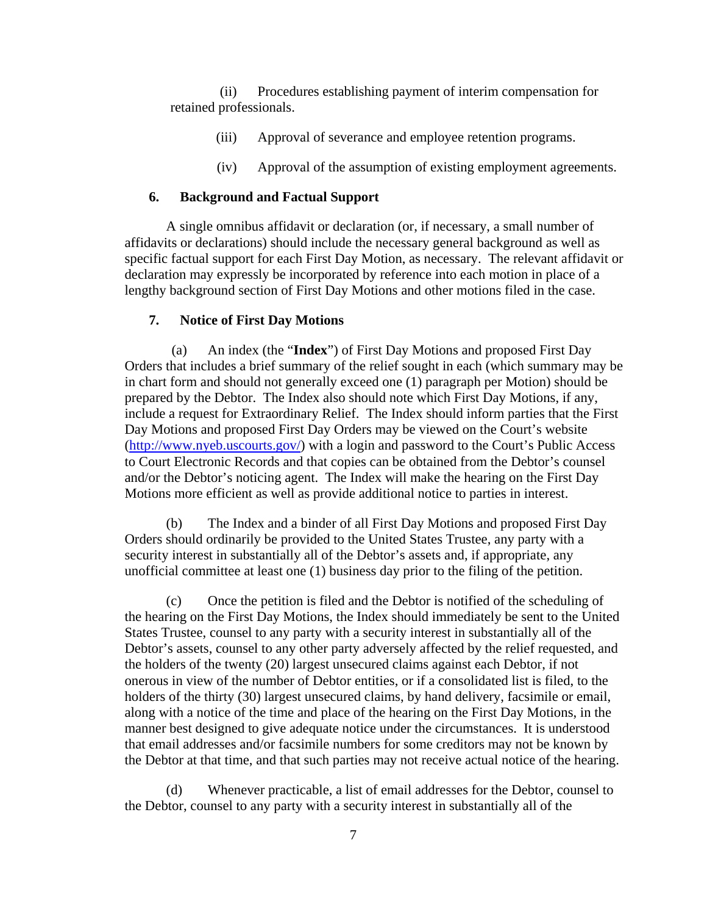(ii) Procedures establishing payment of interim compensation for retained professionals.

- (iii) Approval of severance and employee retention programs.
- (iv) Approval of the assumption of existing employment agreements.

#### **6. Background and Factual Support**

 A single omnibus affidavit or declaration (or, if necessary, a small number of affidavits or declarations) should include the necessary general background as well as specific factual support for each First Day Motion, as necessary. The relevant affidavit or declaration may expressly be incorporated by reference into each motion in place of a lengthy background section of First Day Motions and other motions filed in the case.

# **7. Notice of First Day Motions**

(a) An index (the "**Index**") of First Day Motions and proposed First Day Orders that includes a brief summary of the relief sought in each (which summary may be in chart form and should not generally exceed one (1) paragraph per Motion) should be prepared by the Debtor. The Index also should note which First Day Motions, if any, include a request for Extraordinary Relief. The Index should inform parties that the First Day Motions and proposed First Day Orders may be viewed on the Court's website (http://www.nyeb.uscourts.gov/) with a login and password to the Court's Public Access to Court Electronic Records and that copies can be obtained from the Debtor's counsel and/or the Debtor's noticing agent. The Index will make the hearing on the First Day Motions more efficient as well as provide additional notice to parties in interest.

(b) The Index and a binder of all First Day Motions and proposed First Day Orders should ordinarily be provided to the United States Trustee, any party with a security interest in substantially all of the Debtor's assets and, if appropriate, any unofficial committee at least one (1) business day prior to the filing of the petition.

(c) Once the petition is filed and the Debtor is notified of the scheduling of the hearing on the First Day Motions, the Index should immediately be sent to the United States Trustee, counsel to any party with a security interest in substantially all of the Debtor's assets, counsel to any other party adversely affected by the relief requested, and the holders of the twenty (20) largest unsecured claims against each Debtor, if not onerous in view of the number of Debtor entities, or if a consolidated list is filed, to the holders of the thirty (30) largest unsecured claims, by hand delivery, facsimile or email, along with a notice of the time and place of the hearing on the First Day Motions, in the manner best designed to give adequate notice under the circumstances. It is understood that email addresses and/or facsimile numbers for some creditors may not be known by the Debtor at that time, and that such parties may not receive actual notice of the hearing.

(d) Whenever practicable, a list of email addresses for the Debtor, counsel to the Debtor, counsel to any party with a security interest in substantially all of the